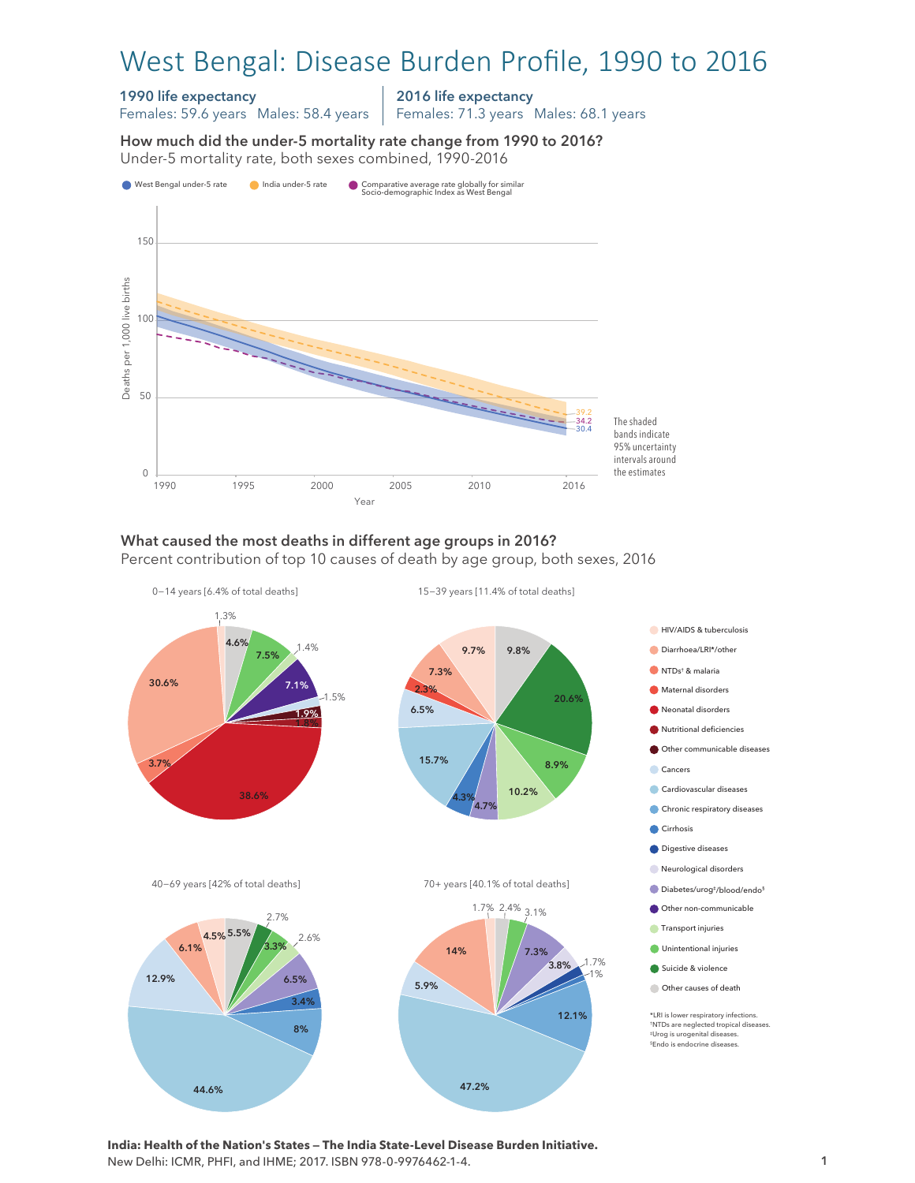# West Bengal: Disease Burden Profile, 1990 to 2016

#### 1990 life expectancy

Females: 59.6 years Males: 58.4 years

2016 life expectancy

Females: 71.3 years Males: 68.1 years

How much did the under-5 mortality rate change from 1990 to 2016? Under-5 mortality rate, both sexes combined, 1990-2016 Under-5 mortality rate, both sexes combined, 1990-2016 How much did the under-5 mortality rate change from 1990 to 2016?



# What caused the most deaths in different age groups in 2016?

Percent contribution of top 10 causes of death by age group, both sexes, 2016



**India: Health of the Nation's States — The India State-Level Disease Burden Initiative.**  New Delhi: ICMR, PHFI, and IHME; 2017. ISBN 978-0-9976462-1-4.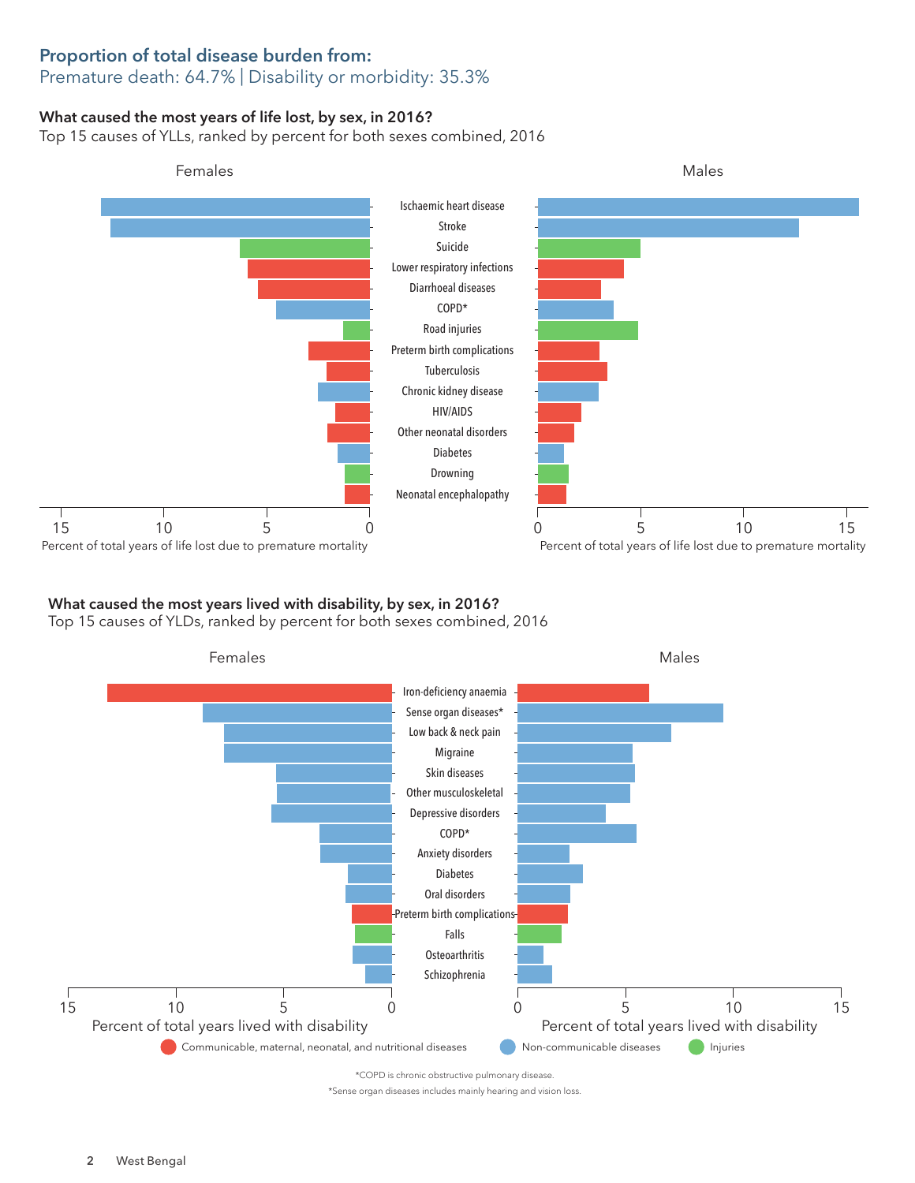# Proportion of total disease burden from:

### Premature death: 64.7% | Disability or morbidity: 35.3%

### What caused the most years of life lost, by sex, in 2016?

Top 15 causes of YLLs, ranked by percent for both sexes combined, 2016



## What caused the most years lived with disability, by sex, in 2016?  $\,$

Top 15 causes of YLDs, ranked by percent for both sexes combined, 2016



\*Sense organ diseases includes mainly hearing and vision loss.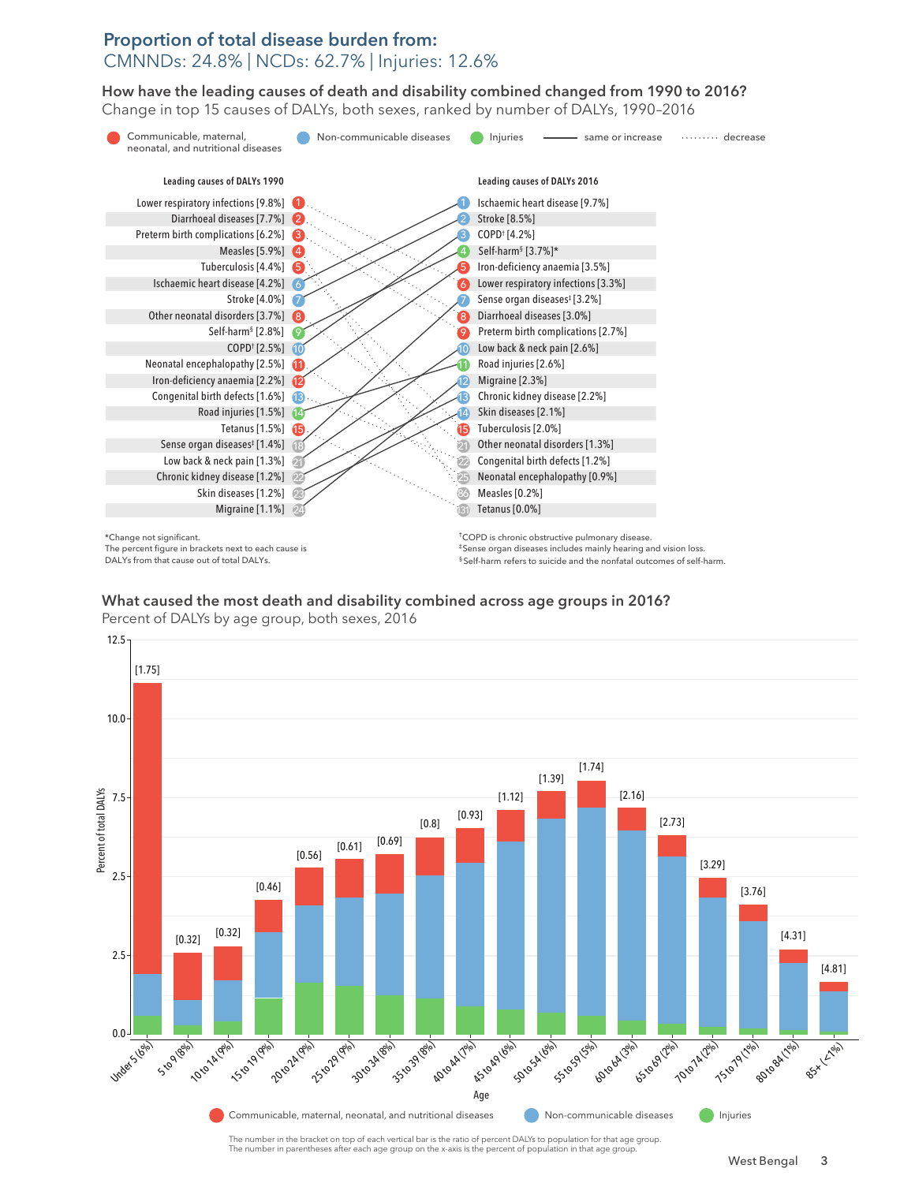### Proportion of total disease burden from: CMNNDs: 24.8% | NCDs: 62.7% | Injuries: 12.6%

How have the leading causes of death and disability combined changed from 1990 to 2016? How have the leading causes of death and disability combined changed from 1990 to 2016? Change in top 15 causes of DALYs, both sexes, ranked by number of DALYs, 1990–2016 Change in top 15 causes of DALYs, both sexes, ranked by number of DALYs, 1990–2016



The percent figure in brackets next to each cause is DALYs from that cause out of total DALYs.

‡Sense organ diseases includes mainly hearing and vision loss. § Self-harm refers to suicide and the nonfatal outcomes of self-harm.

## What caused the most death and disability combined across age groups in 2016? What caused the most death and disability combined across age groups in 2016?

Percent of DALYs by age group, both sexes, 2016 Percent of DALYs by age group, both sexes, 2016



The number in the bracket on top of each vertical bar is the ratio of percent DALYs to population for that age group The number in parentheses after each age group on the x-axis is the percent of population in that age group.